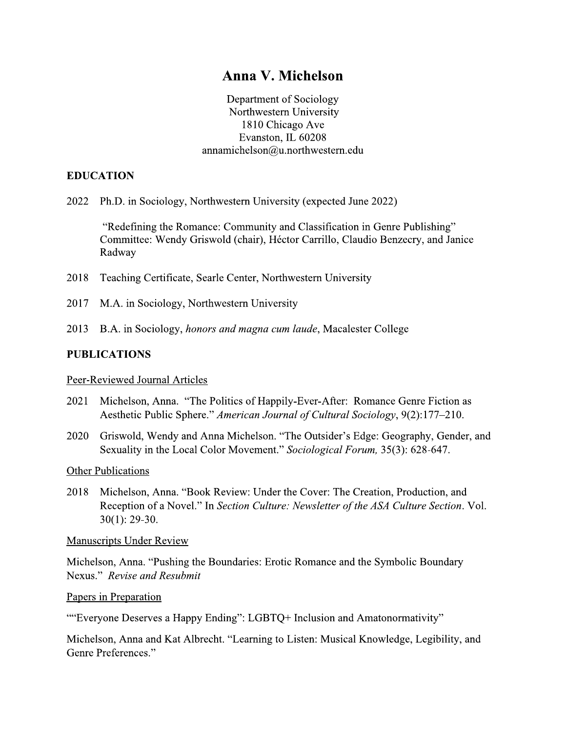# Anna V. Michelson

Department of Sociology Northwestern University 1810 Chicago Ave Evanston, IL 60208 annamichelson@u.northwestern.edu

# **EDUCATION**

2022 Ph.D. in Sociology, Northwestern University (expected June 2022)

"Redefining the Romance: Community and Classification in Genre Publishing" Committee: Wendy Griswold (chair), Héctor Carrillo, Claudio Benzecry, and Janice Radway

- 2018 Teaching Certificate, Searle Center, Northwestern University
- 2017 M.A. in Sociology, Northwestern University
- 2013 B.A. in Sociology, *honors and magna cum laude*, Macalester College

### **PUBLICATIONS**

Peer-Reviewed Journal Articles

- 2021 Michelson, Anna. "The Politics of Happily-Ever-After: Romance Genre Fiction as Aesthetic Public Sphere." American Journal of Cultural Sociology, 9(2):177–210.
- Griswold, Wendy and Anna Michelson. "The Outsider's Edge: Geography, Gender, and 2020 Sexuality in the Local Color Movement." Sociological Forum, 35(3): 628-647.

**Other Publications** 

2018 Michelson, Anna. "Book Review: Under the Cover: The Creation, Production, and Reception of a Novel." In Section Culture: Newsletter of the ASA Culture Section. Vol.  $30(1)$ : 29-30.

**Manuscripts Under Review** 

Michelson, Anna. "Pushing the Boundaries: Erotic Romance and the Symbolic Boundary Nexus." Revise and Resubmit

Papers in Preparation

""Everyone Deserves a Happy Ending": LGBTQ+ Inclusion and Amatonormativity"

Michelson, Anna and Kat Albrecht. "Learning to Listen: Musical Knowledge, Legibility, and Genre Preferences."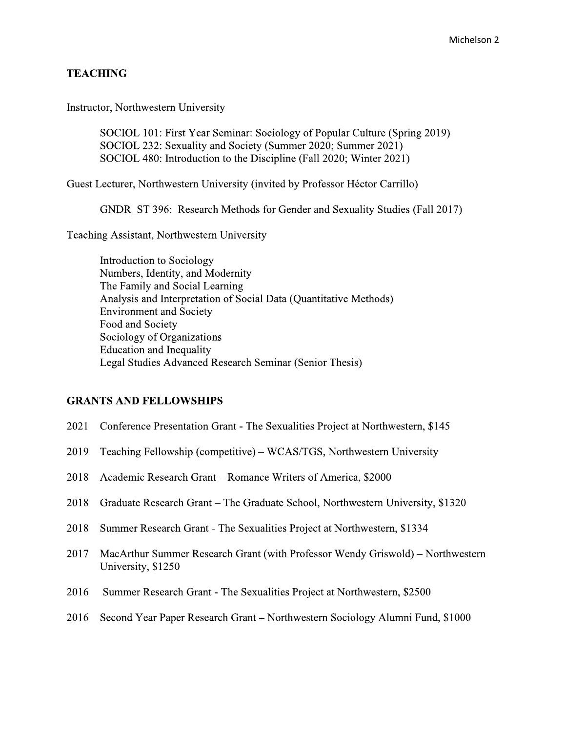# **TEACHING**

Instructor, Northwestern University

SOCIOL 101: First Year Seminar: Sociology of Popular Culture (Spring 2019) SOCIOL 232: Sexuality and Society (Summer 2020; Summer 2021) SOCIOL 480: Introduction to the Discipline (Fall 2020; Winter 2021)

Guest Lecturer, Northwestern University (invited by Professor Héctor Carrillo)

GNDR ST 396: Research Methods for Gender and Sexuality Studies (Fall 2017)

Teaching Assistant, Northwestern University

Introduction to Sociology Numbers, Identity, and Modernity The Family and Social Learning Analysis and Interpretation of Social Data (Quantitative Methods) **Environment and Society** Food and Society Sociology of Organizations **Education and Inequality** Legal Studies Advanced Research Seminar (Senior Thesis)

#### **GRANTS AND FELLOWSHIPS**

- 2021 Conference Presentation Grant The Sexualities Project at Northwestern, \$145
- 2019 Teaching Fellowship (competitive) WCAS/TGS, Northwestern University
- 2018 Academic Research Grant Romance Writers of America, \$2000
- 2018 Graduate Research Grant The Graduate School, Northwestern University, \$1320
- 2018 Summer Research Grant The Sexualities Project at Northwestern, \$1334
- 2017 MacArthur Summer Research Grant (with Professor Wendy Griswold) – Northwestern University, \$1250
- 2016 Summer Research Grant - The Sexualities Project at Northwestern, \$2500
- 2016 Second Year Paper Research Grant Northwestern Sociology Alumni Fund, \$1000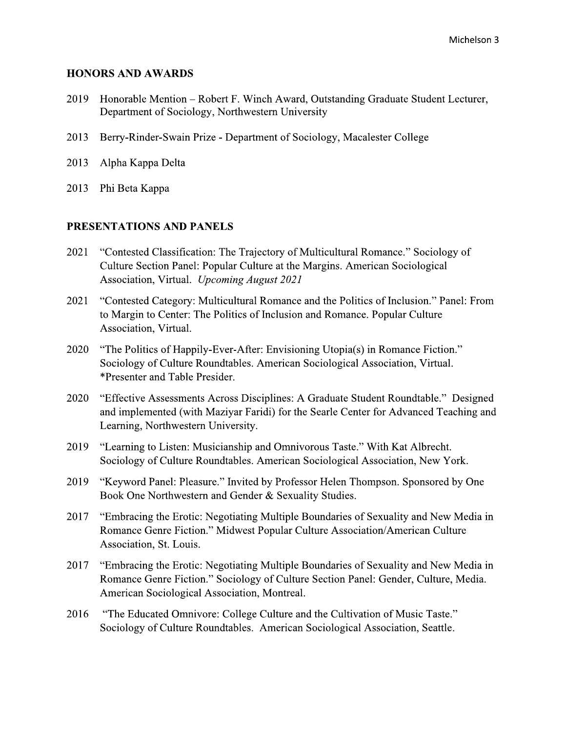### **HONORS AND AWARDS**

- Honorable Mention Robert F. Winch Award, Outstanding Graduate Student Lecturer, 2019 Department of Sociology, Northwestern University
- 2013 Berry-Rinder-Swain Prize - Department of Sociology, Macalester College
- 2013 Alpha Kappa Delta
- 2013 Phi Beta Kappa

# PRESENTATIONS AND PANELS

- "Contested Classification: The Trajectory of Multicultural Romance." Sociology of 2021 Culture Section Panel: Popular Culture at the Margins. American Sociological Association, Virtual. Upcoming August 2021
- 2021 "Contested Category: Multicultural Romance and the Politics of Inclusion." Panel: From to Margin to Center: The Politics of Inclusion and Romance. Popular Culture Association, Virtual.
- "The Politics of Happily-Ever-After: Envisioning Utopia(s) in Romance Fiction." 2020 Sociology of Culture Roundtables. American Sociological Association, Virtual. \*Presenter and Table Presider.
- "Effective Assessments Across Disciplines: A Graduate Student Roundtable." Designed 2020 and implemented (with Maziyar Faridi) for the Searle Center for Advanced Teaching and Learning, Northwestern University.
- 2019 "Learning to Listen: Musicianship and Omnivorous Taste." With Kat Albrecht. Sociology of Culture Roundtables. American Sociological Association, New York.
- 2019 "Keyword Panel: Pleasure." Invited by Professor Helen Thompson. Sponsored by One Book One Northwestern and Gender & Sexuality Studies.
- 2017 "Embracing the Erotic: Negotiating Multiple Boundaries of Sexuality and New Media in Romance Genre Fiction." Midwest Popular Culture Association/American Culture Association, St. Louis.
- 2017 "Embracing the Erotic: Negotiating Multiple Boundaries of Sexuality and New Media in Romance Genre Fiction." Sociology of Culture Section Panel: Gender, Culture, Media. American Sociological Association, Montreal.
- 2016 "The Educated Omnivore: College Culture and the Cultivation of Music Taste." Sociology of Culture Roundtables. American Sociological Association, Seattle.